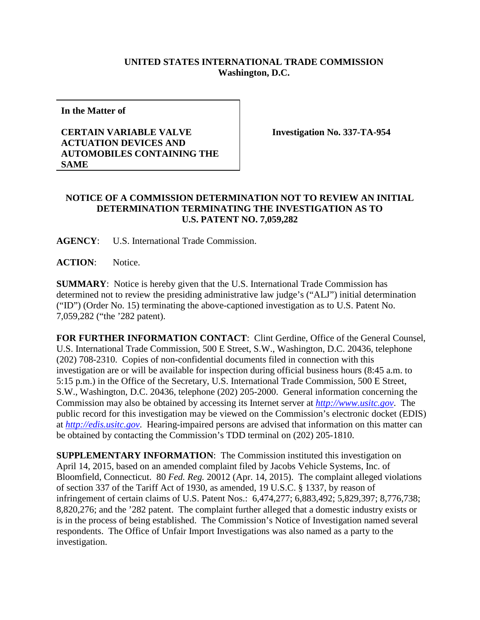## **UNITED STATES INTERNATIONAL TRADE COMMISSION Washington, D.C.**

**In the Matter of**

## **CERTAIN VARIABLE VALVE ACTUATION DEVICES AND AUTOMOBILES CONTAINING THE SAME**

**Investigation No. 337-TA-954**

## **NOTICE OF A COMMISSION DETERMINATION NOT TO REVIEW AN INITIAL DETERMINATION TERMINATING THE INVESTIGATION AS TO U.S. PATENT NO. 7,059,282**

**AGENCY**: U.S. International Trade Commission.

**ACTION**: Notice.

**SUMMARY**: Notice is hereby given that the U.S. International Trade Commission has determined not to review the presiding administrative law judge's ("ALJ") initial determination ("ID") (Order No. 15) terminating the above-captioned investigation as to U.S. Patent No. 7,059,282 ("the '282 patent).

**FOR FURTHER INFORMATION CONTACT**: Clint Gerdine, Office of the General Counsel, U.S. International Trade Commission, 500 E Street, S.W., Washington, D.C. 20436, telephone (202) 708-2310. Copies of non-confidential documents filed in connection with this investigation are or will be available for inspection during official business hours (8:45 a.m. to 5:15 p.m.) in the Office of the Secretary, U.S. International Trade Commission, 500 E Street, S.W., Washington, D.C. 20436, telephone (202) 205-2000. General information concerning the Commission may also be obtained by accessing its Internet server at *[http://www.usitc.gov](http://www.usitc.gov/)*. The public record for this investigation may be viewed on the Commission's electronic docket (EDIS) at *[http://edis.usitc.gov](http://edis.usitc.gov/)*. Hearing-impaired persons are advised that information on this matter can be obtained by contacting the Commission's TDD terminal on (202) 205-1810.

**SUPPLEMENTARY INFORMATION**: The Commission instituted this investigation on April 14, 2015, based on an amended complaint filed by Jacobs Vehicle Systems, Inc. of Bloomfield, Connecticut. 80 *Fed. Reg.* 20012 (Apr. 14, 2015). The complaint alleged violations of section 337 of the Tariff Act of 1930, as amended, 19 U.S.C. § 1337, by reason of infringement of certain claims of U.S. Patent Nos.: 6,474,277; 6,883,492; 5,829,397; 8,776,738; 8,820,276; and the '282 patent. The complaint further alleged that a domestic industry exists or is in the process of being established. The Commission's Notice of Investigation named several respondents. The Office of Unfair Import Investigations was also named as a party to the investigation.